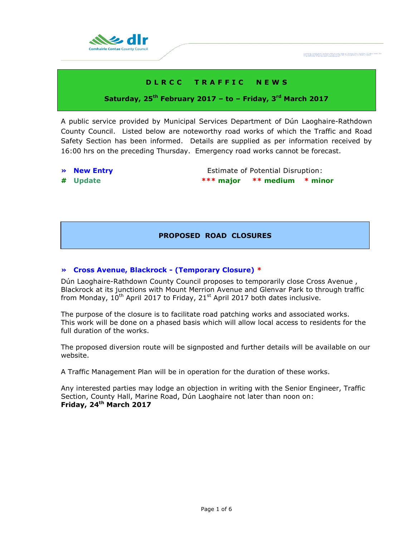

# **D L R C C T R A F F I C N E W S**

# **Saturday, 25th February 2017 – to – Friday, 3 rd March 2017**

A public service provided by Municipal Services Department of Dún Laoghaire-Rathdown County Council. Listed below are noteworthy road works of which the Traffic and Road Safety Section has been informed. Details are supplied as per information received by 16:00 hrs on the preceding Thursday. Emergency road works cannot be forecast.

- 
- 

**• New Entry Extimate of Potential Disruption: # Update \*\*\* major \*\* medium \* minor**

Comhairle Cornae Dhùn Leoghaire-Ráth ar<br>Dún Leoghaire-Rathdown County Coungil,

# **PROPOSED ROAD CLOSURES**

### **» Cross Avenue, Blackrock - (Temporary Closure) \***

Dún Laoghaire-Rathdown County Council proposes to temporarily close Cross Avenue , Blackrock at its junctions with Mount Merrion Avenue and Glenvar Park to through traffic from Monday,  $10^{th}$  April 2017 to Friday, 21<sup>st</sup> April 2017 both dates inclusive.

The purpose of the closure is to facilitate road patching works and associated works. This work will be done on a phased basis which will allow local access to residents for the full duration of the works.

The proposed diversion route will be signposted and further details will be available on our website.

A Traffic Management Plan will be in operation for the duration of these works.

Any interested parties may lodge an objection in writing with the Senior Engineer, Traffic Section, County Hall, Marine Road, Dún Laoghaire not later than noon on: **Friday, 24th March 2017**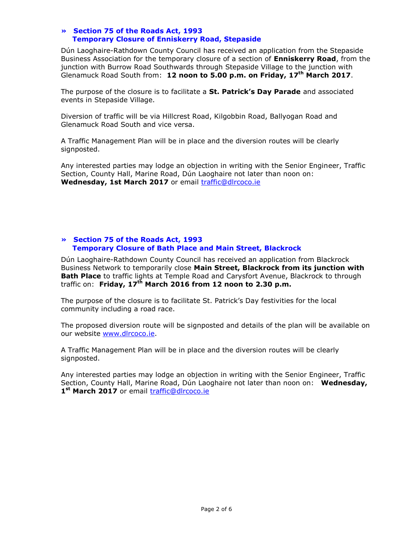### **» Section 75 of the Roads Act, 1993 Temporary Closure of Enniskerry Road, Stepaside**

Dún Laoghaire-Rathdown County Council has received an application from the Stepaside Business Association for the temporary closure of a section of **Enniskerry Road**, from the junction with Burrow Road Southwards through Stepaside Village to the junction with Glenamuck Road South from: **12 noon to 5.00 p.m. on Friday, 17th March 2017**.

The purpose of the closure is to facilitate a **St. Patrick's Day Parade** and associated events in Stepaside Village.

Diversion of traffic will be via Hillcrest Road, Kilgobbin Road, Ballyogan Road and Glenamuck Road South and vice versa.

A Traffic Management Plan will be in place and the diversion routes will be clearly signposted.

Any interested parties may lodge an objection in writing with the Senior Engineer, Traffic Section, County Hall, Marine Road, Dún Laoghaire not later than noon on: **Wednesday, 1st March 2017** or email [traffic@dlrcoco.ie](mailto:traffic@dlrcoco.ie)

# **» Section 75 of the Roads Act, 1993 Temporary Closure of Bath Place and Main Street, Blackrock**

Dún Laoghaire-Rathdown County Council has received an application from Blackrock Business Network to temporarily close **Main Street, Blackrock from its junction with Bath Place** to traffic lights at Temple Road and Carysfort Avenue, Blackrock to through traffic on: **Friday, 17th March 2016 from 12 noon to 2.30 p.m.**

The purpose of the closure is to facilitate St. Patrick's Day festivities for the local community including a road race.

The proposed diversion route will be signposted and details of the plan will be available on our website [www.dlrcoco.ie.](http://www.dlrcoco.ie/)

A Traffic Management Plan will be in place and the diversion routes will be clearly signposted.

Any interested parties may lodge an objection in writing with the Senior Engineer, Traffic Section, County Hall, Marine Road, Dún Laoghaire not later than noon on: **Wednesday,**  1<sup>st</sup> March 2017 or email **traffic@dlrcoco.ie**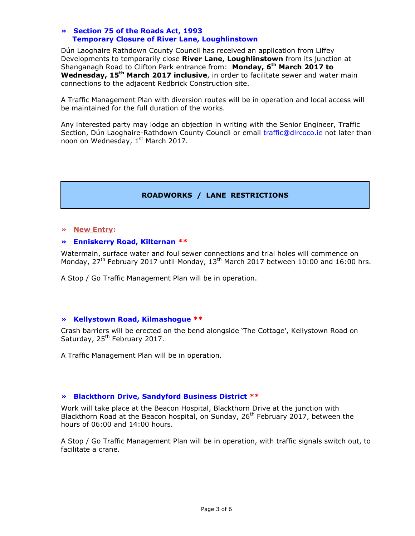### **» Section 75 of the Roads Act, 1993 Temporary Closure of River Lane, Loughlinstown**

Dún Laoghaire Rathdown County Council has received an application from Liffey Developments to temporarily close **River Lane, Loughlinstown** from its junction at Shanganagh Road to Clifton Park entrance from: **Monday, 6 th March 2017 to Wednesday, 15th March 2017 inclusive**, in order to facilitate sewer and water main connections to the adjacent Redbrick Construction site.

A Traffic Management Plan with diversion routes will be in operation and local access will be maintained for the full duration of the works.

Any interested party may lodge an objection in writing with the Senior Engineer, Traffic Section, Dún Laoghaire-Rathdown County Council or email [traffic@dlrcoco.ie](mailto:traffic@dlrcoco.ie) not later than noon on Wednesday, 1<sup>st</sup> March 2017.

# **ROADWORKS / LANE RESTRICTIONS**

#### **» New Entry:**

### **» Enniskerry Road, Kilternan \*\***

Watermain, surface water and foul sewer connections and trial holes will commence on Monday,  $27<sup>th</sup>$  February 2017 until Monday,  $13<sup>th</sup>$  March 2017 between 10:00 and 16:00 hrs.

A Stop / Go Traffic Management Plan will be in operation.

#### **» Kellystown Road, Kilmashogue \*\***

Crash barriers will be erected on the bend alongside 'The Cottage', Kellystown Road on Saturday, 25<sup>th</sup> February 2017.

A Traffic Management Plan will be in operation.

### **» Blackthorn Drive, Sandyford Business District \*\***

Work will take place at the Beacon Hospital, Blackthorn Drive at the junction with Blackthorn Road at the Beacon hospital, on Sunday, 26<sup>th</sup> February 2017, between the hours of 06:00 and 14:00 hours.

A Stop / Go Traffic Management Plan will be in operation, with traffic signals switch out, to facilitate a crane.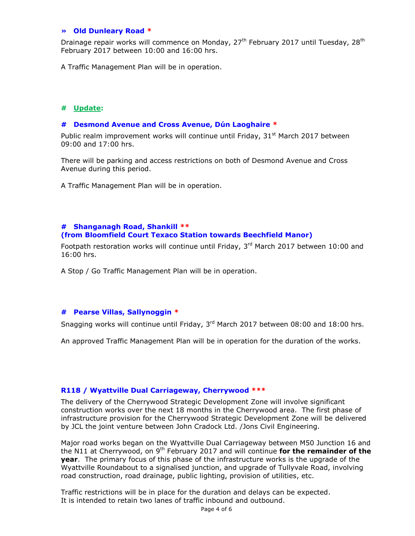#### **» Old Dunleary Road \***

Drainage repair works will commence on Monday,  $27<sup>th</sup>$  February 2017 until Tuesday,  $28<sup>th</sup>$ February 2017 between 10:00 and 16:00 hrs.

A Traffic Management Plan will be in operation.

## **# Update:**

#### **# Desmond Avenue and Cross Avenue, Dún Laoghaire \***

Public realm improvement works will continue until Friday,  $31^{st}$  March 2017 between 09:00 and 17:00 hrs.

There will be parking and access restrictions on both of Desmond Avenue and Cross Avenue during this period.

A Traffic Management Plan will be in operation.

#### **# Shanganagh Road, Shankill \*\* (from Bloomfield Court Texaco Station towards Beechfield Manor)**

Footpath restoration works will continue until Friday,  $3<sup>rd</sup>$  March 2017 between 10:00 and 16:00 hrs.

A Stop / Go Traffic Management Plan will be in operation.

### **# Pearse Villas, Sallynoggin \***

Snagging works will continue until Friday,  $3<sup>rd</sup>$  March 2017 between 08:00 and 18:00 hrs.

An approved Traffic Management Plan will be in operation for the duration of the works.

## **R118 / Wyattville Dual Carriageway, Cherrywood \*\*\***

The delivery of the Cherrywood Strategic Development Zone will involve significant construction works over the next 18 months in the Cherrywood area. The first phase of infrastructure provision for the Cherrywood Strategic Development Zone will be delivered by JCL the joint venture between John Cradock Ltd. /Jons Civil Engineering.

Major road works began on the Wyattville Dual Carriageway between M50 Junction 16 and the N11 at Cherrywood, on 9th February 2017 and will continue **for the remainder of the year**. The primary focus of this phase of the infrastructure works is the upgrade of the Wyattville Roundabout to a signalised junction, and upgrade of Tullyvale Road, involving road construction, road drainage, public lighting, provision of utilities, etc.

Traffic restrictions will be in place for the duration and delays can be expected. It is intended to retain two lanes of traffic inbound and outbound.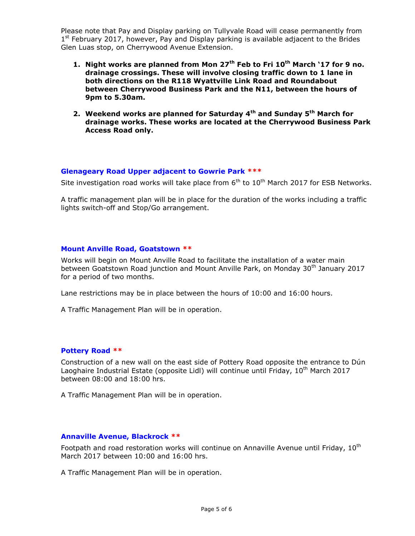Please note that Pay and Display parking on Tullyvale Road will cease permanently from 1<sup>st</sup> February 2017, however, Pay and Display parking is available adjacent to the Brides Glen Luas stop, on Cherrywood Avenue Extension.

- **1. Night works are planned from Mon 27th Feb to Fri 10th March '17 for 9 no. drainage crossings. These will involve closing traffic down to 1 lane in both directions on the R118 Wyattville Link Road and Roundabout between Cherrywood Business Park and the N11, between the hours of 9pm to 5.30am.**
- **2. Weekend works are planned for Saturday 4th and Sunday 5th March for drainage works. These works are located at the Cherrywood Business Park Access Road only.**

#### **Glenageary Road Upper adjacent to Gowrie Park \*\*\***

Site investigation road works will take place from  $6<sup>th</sup>$  to  $10<sup>th</sup>$  March 2017 for ESB Networks.

A traffic management plan will be in place for the duration of the works including a traffic lights switch-off and Stop/Go arrangement.

#### **Mount Anville Road, Goatstown \*\***

Works will begin on Mount Anville Road to facilitate the installation of a water main between Goatstown Road junction and Mount Anville Park, on Monday 30<sup>th</sup> January 2017 for a period of two months.

Lane restrictions may be in place between the hours of 10:00 and 16:00 hours.

A Traffic Management Plan will be in operation.

#### **Pottery Road \*\***

Construction of a new wall on the east side of Pottery Road opposite the entrance to Dún Laoghaire Industrial Estate (opposite Lidl) will continue until Friday, 10<sup>th</sup> March 2017 between 08:00 and 18:00 hrs.

A Traffic Management Plan will be in operation.

#### **Annaville Avenue, Blackrock \*\***

Footpath and road restoration works will continue on Annaville Avenue until Friday,  $10^{th}$ March 2017 between 10:00 and 16:00 hrs.

A Traffic Management Plan will be in operation.